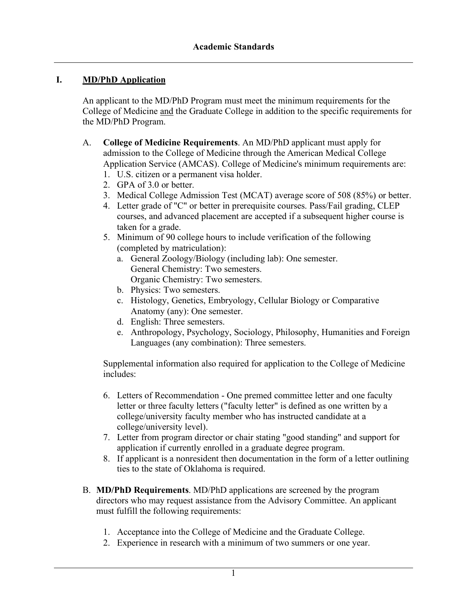# **I. MD/PhD Application**

An applicant to the MD/PhD Program must meet the minimum requirements for the College of Medicine and the Graduate College in addition to the specific requirements for the MD/PhD Program.

- A. **College of Medicine Requirements**. An MD/PhD applicant must apply for admission to the College of Medicine through the American Medical College Application Service (AMCAS). College of Medicine's minimum requirements are:
	- 1. U.S. citizen or a permanent visa holder.
	- 2. GPA of 3.0 or better.
	- 3. Medical College Admission Test (MCAT) average score of 508 (85%) or better.
	- 4. Letter grade of "C" or better in prerequisite courses. Pass/Fail grading, CLEP courses, and advanced placement are accepted if a subsequent higher course is taken for a grade.
	- 5. Minimum of 90 college hours to include verification of the following (completed by matriculation):
		- a. General Zoology/Biology (including lab): One semester. General Chemistry: Two semesters. Organic Chemistry: Two semesters.
		- b. Physics: Two semesters.
		- c. Histology, Genetics, Embryology, Cellular Biology or Comparative Anatomy (any): One semester.
		- d. English: Three semesters.
		- e. Anthropology, Psychology, Sociology, Philosophy, Humanities and Foreign Languages (any combination): Three semesters.

Supplemental information also required for application to the College of Medicine includes:

- 6. Letters of Recommendation One premed committee letter and one faculty letter or three faculty letters ("faculty letter" is defined as one written by a college/university faculty member who has instructed candidate at a college/university level).
- 7. Letter from program director or chair stating "good standing" and support for application if currently enrolled in a graduate degree program.
- 8. If applicant is a nonresident then documentation in the form of a letter outlining ties to the state of Oklahoma is required.
- B. **MD/PhD Requirements**. MD/PhD applications are screened by the program directors who may request assistance from the Advisory Committee. An applicant must fulfill the following requirements:
	- 1. Acceptance into the College of Medicine and the Graduate College.
	- 2. Experience in research with a minimum of two summers or one year.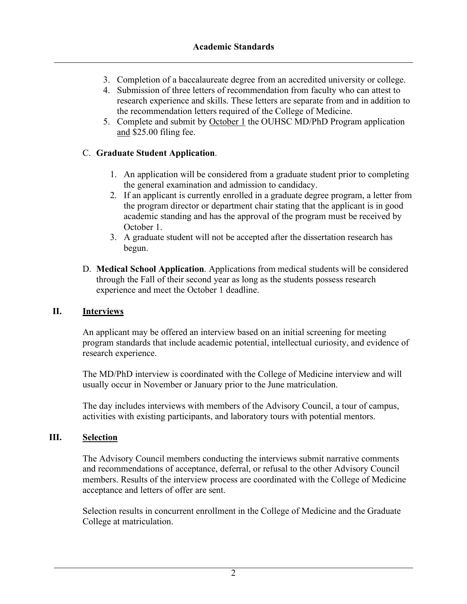- 3. Completion of a baccalaureate degree from an accredited university or college.
- 4. Submission of three letters of recommendation from faculty who can attest to research experience and skills. These letters are separate from and in addition to the recommendation letters required of the College of Medicine.
- 5. Complete and submit by October 1 the OUHSC MD/PhD Program application and \$25.00 filing fee.

# C. **Graduate Student Application**.

- 1. An application will be considered from a graduate student prior to completing the general examination and admission to candidacy.
- 2. If an applicant is currently enrolled in a graduate degree program, a letter from the program director or department chair stating that the applicant is in good academic standing and has the approval of the program must be received by October 1.
- 3. A graduate student will not be accepted after the dissertation research has begun.
- D. **Medical School Application**. Applications from medical students will be considered through the Fall of their second year as long as the students possess research experience and meet the October 1 deadline.

#### **II. Interviews**

An applicant may be offered an interview based on an initial screening for meeting program standards that include academic potential, intellectual curiosity, and evidence of research experience.

The MD/PhD interview is coordinated with the College of Medicine interview and will usually occur in November or January prior to the June matriculation.

The day includes interviews with members of the Advisory Council, a tour of campus, activities with existing participants, and laboratory tours with potential mentors.

#### **III. Selection**

The Advisory Council members conducting the interviews submit narrative comments and recommendations of acceptance, deferral, or refusal to the other Advisory Council members. Results of the interview process are coordinated with the College of Medicine acceptance and letters of offer are sent.

Selection results in concurrent enrollment in the College of Medicine and the Graduate College at matriculation.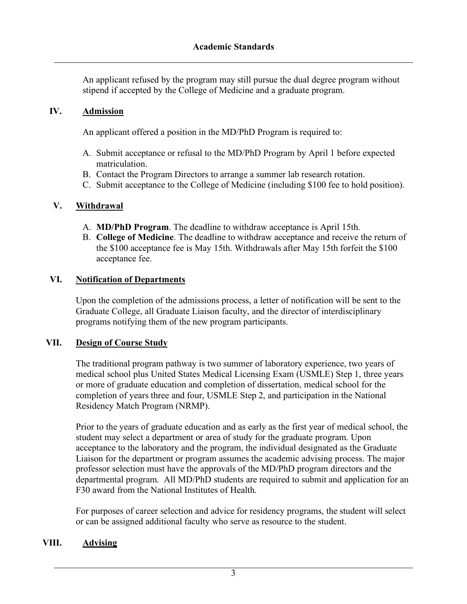An applicant refused by the program may still pursue the dual degree program without stipend if accepted by the College of Medicine and a graduate program.

### **IV. Admission**

An applicant offered a position in the MD/PhD Program is required to:

- A. Submit acceptance or refusal to the MD/PhD Program by April 1 before expected matriculation.
- B. Contact the Program Directors to arrange a summer lab research rotation.
- C. Submit acceptance to the College of Medicine (including \$100 fee to hold position).

### **V. Withdrawal**

- A. **MD/PhD Program**. The deadline to withdraw acceptance is April 15th.
- B. **College of Medicine**. The deadline to withdraw acceptance and receive the return of the \$100 acceptance fee is May 15th. Withdrawals after May 15th forfeit the \$100 acceptance fee.

### **VI. Notification of Departments**

Upon the completion of the admissions process, a letter of notification will be sent to the Graduate College, all Graduate Liaison faculty, and the director of interdisciplinary programs notifying them of the new program participants.

# **VII. Design of Course Study**

The traditional program pathway is two summer of laboratory experience, two years of medical school plus United States Medical Licensing Exam (USMLE) Step 1, three years or more of graduate education and completion of dissertation, medical school for the completion of years three and four, USMLE Step 2, and participation in the National Residency Match Program (NRMP).

Prior to the years of graduate education and as early as the first year of medical school, the student may select a department or area of study for the graduate program. Upon acceptance to the laboratory and the program, the individual designated as the Graduate Liaison for the department or program assumes the academic advising process. The major professor selection must have the approvals of the MD/PhD program directors and the departmental program. All MD/PhD students are required to submit and application for an F30 award from the National Institutes of Health.

For purposes of career selection and advice for residency programs, the student will select or can be assigned additional faculty who serve as resource to the student.

#### **VIII. Advising**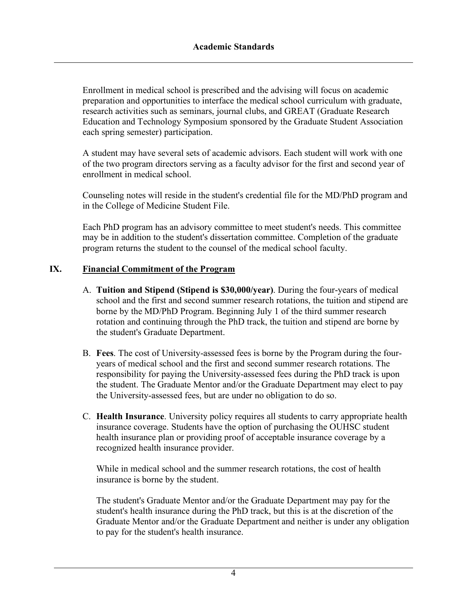Enrollment in medical school is prescribed and the advising will focus on academic preparation and opportunities to interface the medical school curriculum with graduate, research activities such as seminars, journal clubs, and GREAT (Graduate Research Education and Technology Symposium sponsored by the Graduate Student Association each spring semester) participation.

A student may have several sets of academic advisors. Each student will work with one of the two program directors serving as a faculty advisor for the first and second year of enrollment in medical school.

Counseling notes will reside in the student's credential file for the MD/PhD program and in the College of Medicine Student File.

Each PhD program has an advisory committee to meet student's needs. This committee may be in addition to the student's dissertation committee. Completion of the graduate program returns the student to the counsel of the medical school faculty.

#### **IX. Financial Commitment of the Program**

- A. **Tuition and Stipend (Stipend is \$30,000/year)**. During the four-years of medical school and the first and second summer research rotations, the tuition and stipend are borne by the MD/PhD Program. Beginning July 1 of the third summer research rotation and continuing through the PhD track, the tuition and stipend are borne by the student's Graduate Department.
- B. **Fees**. The cost of University-assessed fees is borne by the Program during the fouryears of medical school and the first and second summer research rotations. The responsibility for paying the University-assessed fees during the PhD track is upon the student. The Graduate Mentor and/or the Graduate Department may elect to pay the University-assessed fees, but are under no obligation to do so.
- C. **Health Insurance**. University policy requires all students to carry appropriate health insurance coverage. Students have the option of purchasing the OUHSC student health insurance plan or providing proof of acceptable insurance coverage by a recognized health insurance provider.

While in medical school and the summer research rotations, the cost of health insurance is borne by the student.

The student's Graduate Mentor and/or the Graduate Department may pay for the student's health insurance during the PhD track, but this is at the discretion of the Graduate Mentor and/or the Graduate Department and neither is under any obligation to pay for the student's health insurance.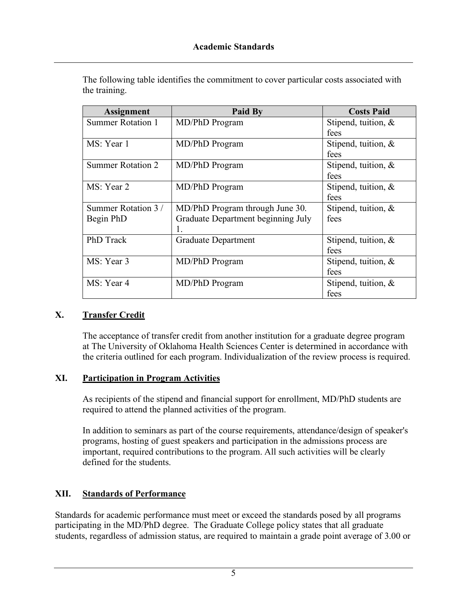| <b>Assignment</b>        | <b>Paid By</b>                     | <b>Costs Paid</b>      |
|--------------------------|------------------------------------|------------------------|
| <b>Summer Rotation 1</b> | MD/PhD Program                     | Stipend, tuition, $\&$ |
|                          |                                    | fees                   |
| MS: Year 1               | MD/PhD Program                     | Stipend, tuition, $\&$ |
|                          |                                    | fees                   |
| <b>Summer Rotation 2</b> | MD/PhD Program                     | Stipend, tuition, $\&$ |
|                          |                                    | fees                   |
| MS: Year 2               | MD/PhD Program                     | Stipend, tuition, &    |
|                          |                                    | fees                   |
| Summer Rotation 3/       | MD/PhD Program through June 30.    | Stipend, tuition, $\&$ |
| Begin PhD                | Graduate Department beginning July | fees                   |
|                          | 1.                                 |                        |
| <b>PhD</b> Track         | <b>Graduate Department</b>         | Stipend, tuition, $\&$ |
|                          |                                    | fees                   |
| MS: Year 3               | MD/PhD Program                     | Stipend, tuition, &    |
|                          |                                    | fees                   |
| MS: Year 4               | MD/PhD Program                     | Stipend, tuition, $\&$ |
|                          |                                    | fees                   |

The following table identifies the commitment to cover particular costs associated with the training.

# **X. Transfer Credit**

The acceptance of transfer credit from another institution for a graduate degree program at The University of Oklahoma Health Sciences Center is determined in accordance with the criteria outlined for each program. Individualization of the review process is required.

#### **XI. Participation in Program Activities**

As recipients of the stipend and financial support for enrollment, MD/PhD students are required to attend the planned activities of the program.

In addition to seminars as part of the course requirements, attendance/design of speaker's programs, hosting of guest speakers and participation in the admissions process are important, required contributions to the program. All such activities will be clearly defined for the students.

# **XII. Standards of Performance**

Standards for academic performance must meet or exceed the standards posed by all programs participating in the MD/PhD degree. The Graduate College policy states that all graduate students, regardless of admission status, are required to maintain a grade point average of 3.00 or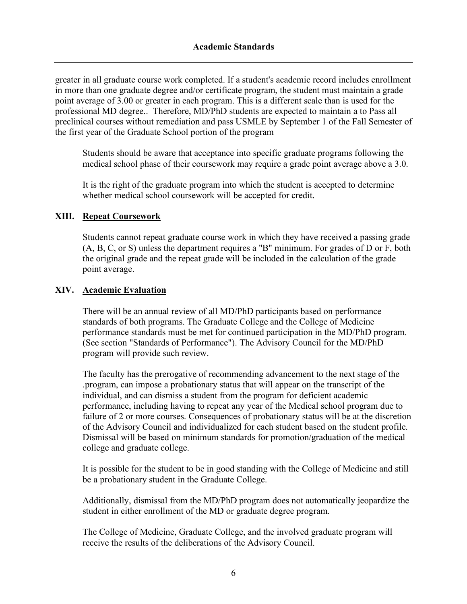greater in all graduate course work completed. If a student's academic record includes enrollment in more than one graduate degree and/or certificate program, the student must maintain a grade point average of 3.00 or greater in each program. This is a different scale than is used for the professional MD degree.. Therefore, MD/PhD students are expected to maintain a to Pass all preclinical courses without remediation and pass USMLE by September 1 of the Fall Semester of the first year of the Graduate School portion of the program

Students should be aware that acceptance into specific graduate programs following the medical school phase of their coursework may require a grade point average above a 3.0.

It is the right of the graduate program into which the student is accepted to determine whether medical school coursework will be accepted for credit.

### **XIII. Repeat Coursework**

Students cannot repeat graduate course work in which they have received a passing grade (A, B, C, or S) unless the department requires a "B" minimum. For grades of D or F, both the original grade and the repeat grade will be included in the calculation of the grade point average.

### **XIV. Academic Evaluation**

There will be an annual review of all MD/PhD participants based on performance standards of both programs. The Graduate College and the College of Medicine performance standards must be met for continued participation in the MD/PhD program. (See section "Standards of Performance"). The Advisory Council for the MD/PhD program will provide such review.

The faculty has the prerogative of recommending advancement to the next stage of the .program, can impose a probationary status that will appear on the transcript of the individual, and can dismiss a student from the program for deficient academic performance, including having to repeat any year of the Medical school program due to failure of 2 or more courses. Consequences of probationary status will be at the discretion of the Advisory Council and individualized for each student based on the student profile. Dismissal will be based on minimum standards for promotion/graduation of the medical college and graduate college.

It is possible for the student to be in good standing with the College of Medicine and still be a probationary student in the Graduate College.

Additionally, dismissal from the MD/PhD program does not automatically jeopardize the student in either enrollment of the MD or graduate degree program.

The College of Medicine, Graduate College, and the involved graduate program will receive the results of the deliberations of the Advisory Council.